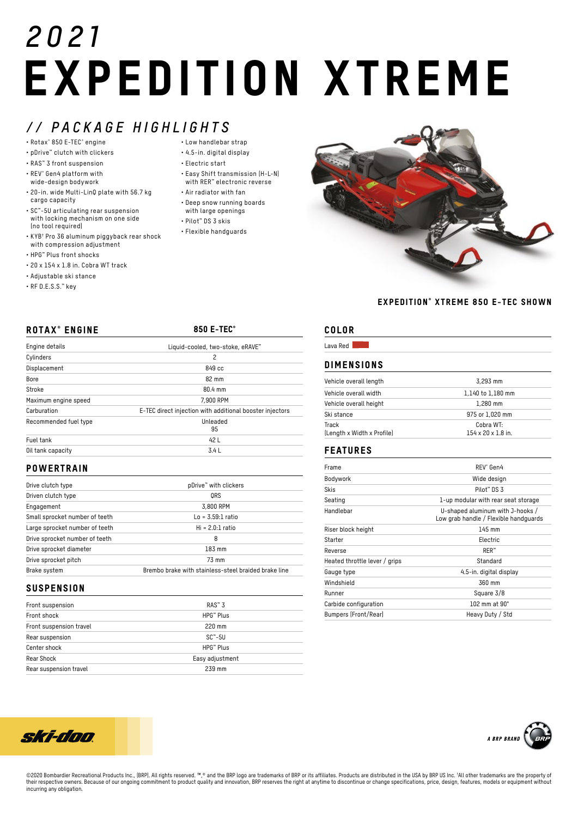# *2021* EXPEDITION XTREME

# *// PACKAGE HIGHLIGHTS*

- Rotax® 850 E-TEC® engine
- pDrive™ clutch with clickers
- RAS™ 3 front suspension
- REV® Gen4 platform with wide-design bodywork
- 20-in. wide Multi-LinQ plate with 56.7 kg cargo capacity
- SC™-5U articulating rear suspension with locking mechanism on one side (no tool required)
- KYB† Pro 36 aluminum piggyback rear shock with compression adjustment
- HPG™ Plus front shocks
- 20 x 154 x 1.8 in. Cobra WT track
- Adjustable ski stance
- RF D.E.S.S.™ key
- Low handlebar strap
- 4.5-in. digital display
- Electric start
- Easy Shift transmission (H-L-N) with RER™ electronic reverse
- Air radiator with fan
- Deep snow running boards
- with large openings
- Pilot™ DS 3 skis
	- Flexible handguards



### EXPEDITION® XTREME 850 E-TEC SHOWN

Cobra WT: 154 x 20 x 1.8 in.

| <b>ROTAX<sup>®</sup> ENGINE</b> | 850 E-TEC <sup>®</sup>                                   |
|---------------------------------|----------------------------------------------------------|
| Engine details                  | Liquid-cooled, two-stoke, eRAVE"                         |
| Cylinders                       | 2                                                        |
| Displacement                    | 849 cc                                                   |
| Bore                            | 82 mm                                                    |
| Stroke                          | 80.4 mm                                                  |
| Maximum engine speed            | 7,900 RPM                                                |
| Carburation                     | E-TEC direct injection with additional booster injectors |
| Recommended fuel type           | Unleaded                                                 |
|                                 | 95                                                       |
| Fuel tank                       | 42 L                                                     |
| Oil tank capacity               | 3.4 L                                                    |

### **POWERTRAIN**

| Drive clutch type              | pDrive" with clickers                                |
|--------------------------------|------------------------------------------------------|
| Driven clutch type             | ORS                                                  |
| Engagement                     | 3,800 RPM                                            |
| Small sprocket number of teeth | $Lo = 3.59:1$ ratio                                  |
| Large sprocket number of teeth | $Hi = 2.0:1 ratio$                                   |
| Drive sprocket number of teeth | 8                                                    |
| Drive sprocket diameter        | 183 mm                                               |
| Drive sprocket pitch           | 73 mm                                                |
| Brake system                   | Brembo brake with stainless-steel braided brake line |

## **SUSPENSION**

| Front suspension        | $RAS^{\omega}3$       |
|-------------------------|-----------------------|
| Front shock             | HPG <sup>™</sup> Plus |
| Front suspension travel | $220$ mm              |
| Rear suspension         | $SC^* - 5U$           |
| Center shock            | HPG <sup>™</sup> Plus |
| Rear Shock              | Easy adjustment       |
| Rear suspension travel  | 239 mm                |

# COLOR

| Lava Red<br><b>DIMENSIONS</b> |                   |  |
|-------------------------------|-------------------|--|
|                               |                   |  |
| Vehicle overall width         | 1,140 to 1,180 mm |  |
| Vehicle overall height        | $1.280$ mm        |  |
| Ski stance                    | 975 or 1.020 mm   |  |

## FEATURES

(Length x Width x Profile)

Track

| RFV <sup>®</sup> Gen4                                                     |
|---------------------------------------------------------------------------|
| Wide design                                                               |
| Pilot <sup>™</sup> D.S. 3                                                 |
| 1-up modular with rear seat storage                                       |
| U-shaped aluminum with J-hooks /<br>Low grab handle / Flexible handguards |
| 145 mm                                                                    |
| Electric                                                                  |
| $RER^*$                                                                   |
| Standard                                                                  |
| 4.5-in. digital display                                                   |
| 360 mm                                                                    |
| Square 3/8                                                                |
| 102 mm at $90^\circ$                                                      |
| Heavy Duty / Std                                                          |
|                                                                           |





©2020 Bombardier Recreational Products Inc., (BRP). All rights reserved. ™,® and the BRP logo are trademarks of BRP or its affiliates. Products are distributed in the USA by BRP US Inc. 1All other trademarks are the prope their respective owners. Because of our ongoing commitment to product quality and innovation, BRP reserves the right at anytime to discontinue or change specifications, price, design, features, models or equipment without incurring any obligation.